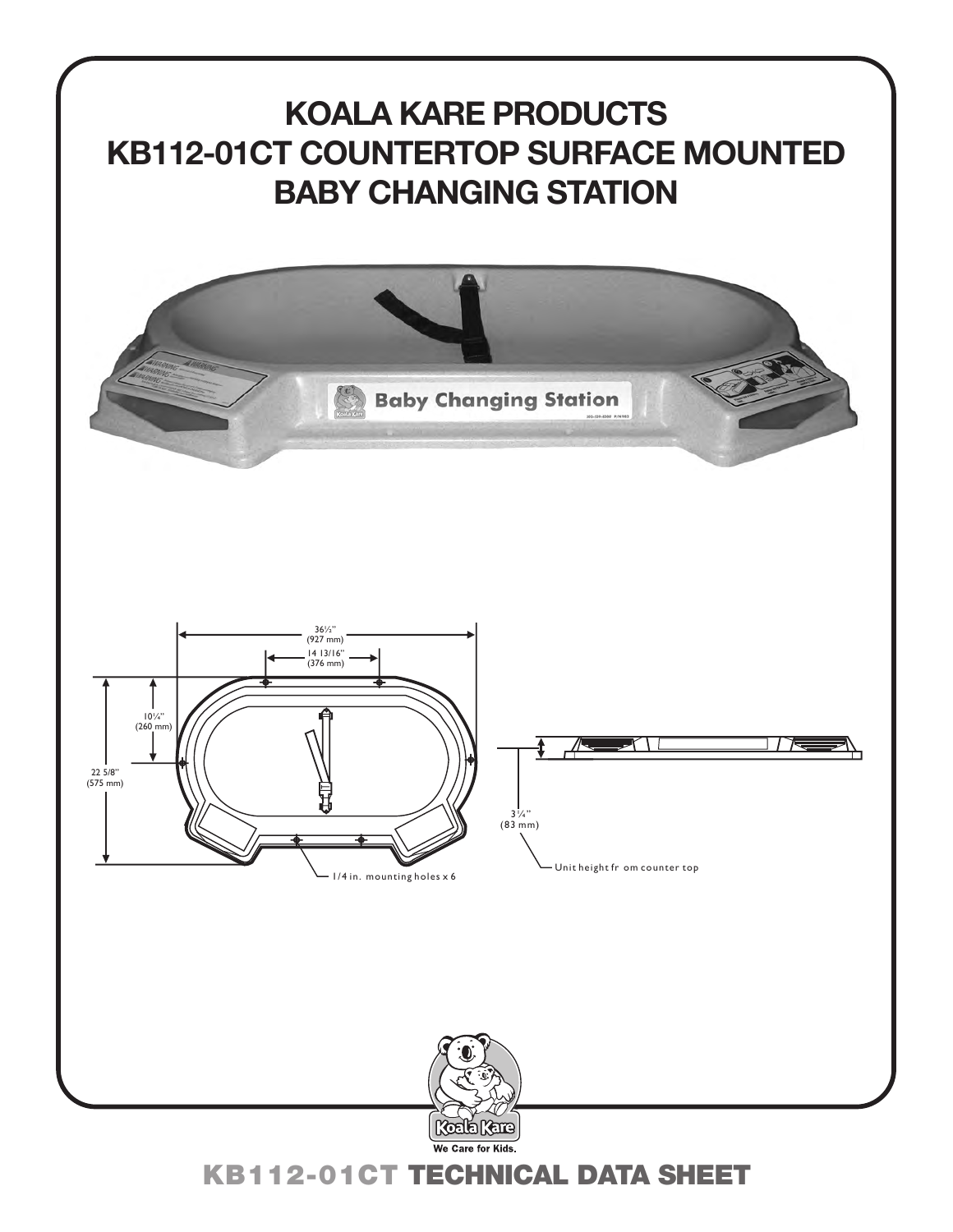

KB112-01CT TECHNICAL DATA SHEET